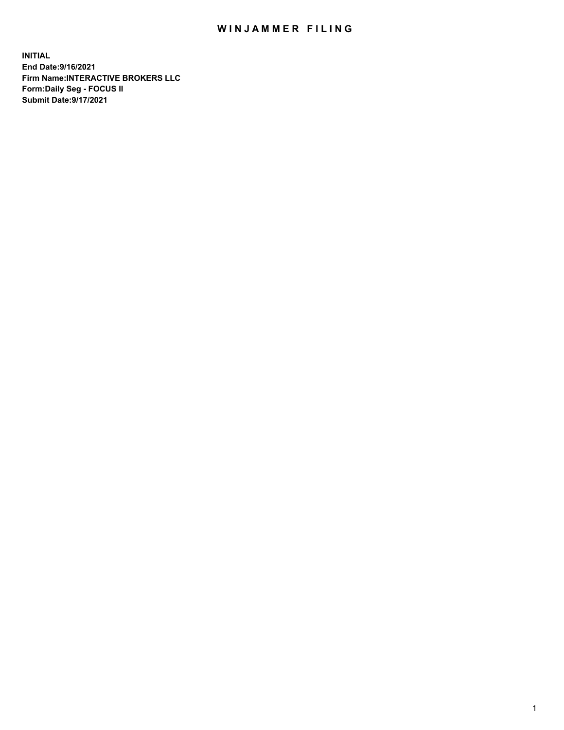## WIN JAMMER FILING

**INITIAL End Date:9/16/2021 Firm Name:INTERACTIVE BROKERS LLC Form:Daily Seg - FOCUS II Submit Date:9/17/2021**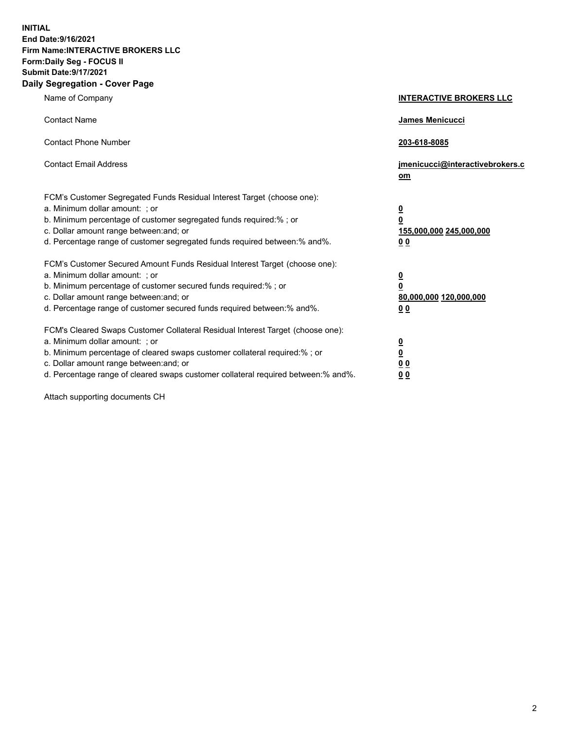**INITIAL End Date:9/16/2021 Firm Name:INTERACTIVE BROKERS LLC Form:Daily Seg - FOCUS II Submit Date:9/17/2021 Daily Segregation - Cover Page**

| Name of Company                                                                                                                                                                                                                                                                                                                | <b>INTERACTIVE BROKERS LLC</b>                                                   |  |
|--------------------------------------------------------------------------------------------------------------------------------------------------------------------------------------------------------------------------------------------------------------------------------------------------------------------------------|----------------------------------------------------------------------------------|--|
| <b>Contact Name</b>                                                                                                                                                                                                                                                                                                            | James Menicucci                                                                  |  |
| <b>Contact Phone Number</b>                                                                                                                                                                                                                                                                                                    | 203-618-8085                                                                     |  |
| <b>Contact Email Address</b>                                                                                                                                                                                                                                                                                                   | jmenicucci@interactivebrokers.c<br>om                                            |  |
| FCM's Customer Segregated Funds Residual Interest Target (choose one):<br>a. Minimum dollar amount: ; or<br>b. Minimum percentage of customer segregated funds required:% ; or<br>c. Dollar amount range between: and; or<br>d. Percentage range of customer segregated funds required between:% and%.                         | <u>0</u><br>$\overline{\mathbf{0}}$<br>155,000,000 245,000,000<br>0 <sub>0</sub> |  |
| FCM's Customer Secured Amount Funds Residual Interest Target (choose one):<br>a. Minimum dollar amount: ; or<br>b. Minimum percentage of customer secured funds required:% ; or<br>c. Dollar amount range between: and; or<br>d. Percentage range of customer secured funds required between:% and%.                           | <u>0</u><br>$\overline{\mathbf{0}}$<br>80,000,000 120,000,000<br>0 <sub>0</sub>  |  |
| FCM's Cleared Swaps Customer Collateral Residual Interest Target (choose one):<br>a. Minimum dollar amount: ; or<br>b. Minimum percentage of cleared swaps customer collateral required:% ; or<br>c. Dollar amount range between: and; or<br>d. Percentage range of cleared swaps customer collateral required between:% and%. | <u>0</u><br>$\underline{\mathbf{0}}$<br>0 <sub>0</sub><br>0 <sub>0</sub>         |  |

Attach supporting documents CH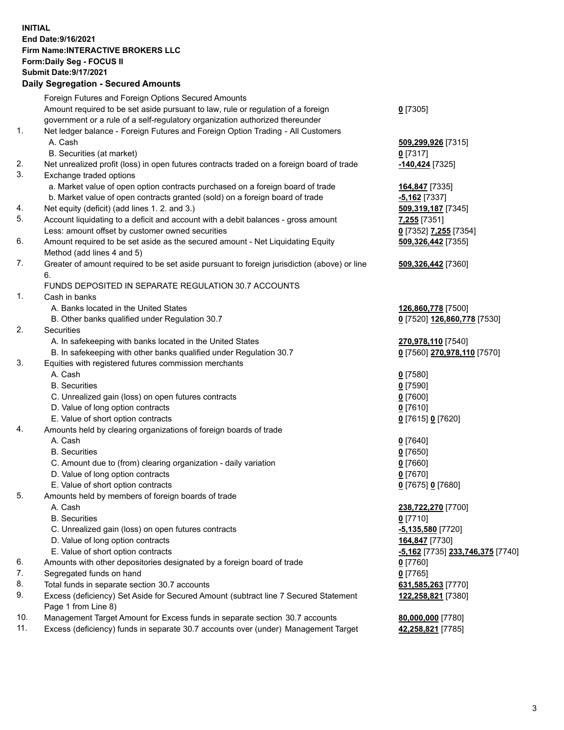**INITIAL End Date:9/16/2021 Firm Name:INTERACTIVE BROKERS LLC Form:Daily Seg - FOCUS II Submit Date:9/17/2021 Daily Segregation - Secured Amounts**

## Foreign Futures and Foreign Options Secured Amounts Amount required to be set aside pursuant to law, rule or regulation of a foreign government or a rule of a self-regulatory organization authorized thereunder **0** [7305] 1. Net ledger balance - Foreign Futures and Foreign Option Trading - All Customers A. Cash **509,299,926** [7315] B. Securities (at market) **0** [7317] 2. Net unrealized profit (loss) in open futures contracts traded on a foreign board of trade **-140,424** [7325] 3. Exchange traded options a. Market value of open option contracts purchased on a foreign board of trade **164,847** [7335] b. Market value of open contracts granted (sold) on a foreign board of trade **-5,162** [7337] 4. Net equity (deficit) (add lines 1. 2. and 3.) **509,319,187** [7345] 5. Account liquidating to a deficit and account with a debit balances - gross amount **7,255** [7351] Less: amount offset by customer owned securities **0** [7352] **7,255** [7354] 6. Amount required to be set aside as the secured amount - Net Liquidating Equity Method (add lines 4 and 5) **509,326,442** [7355] 7. Greater of amount required to be set aside pursuant to foreign jurisdiction (above) or line 6. **509,326,442** [7360] FUNDS DEPOSITED IN SEPARATE REGULATION 30.7 ACCOUNTS 1. Cash in banks A. Banks located in the United States **126,860,778** [7500] B. Other banks qualified under Regulation 30.7 **0** [7520] **126,860,778** [7530] 2. Securities A. In safekeeping with banks located in the United States **270,978,110** [7540] B. In safekeeping with other banks qualified under Regulation 30.7 **0** [7560] **270,978,110** [7570] 3. Equities with registered futures commission merchants A. Cash **0** [7580] B. Securities **0** [7590] C. Unrealized gain (loss) on open futures contracts **0** [7600] D. Value of long option contracts **0** [7610] E. Value of short option contracts **0** [7615] **0** [7620] 4. Amounts held by clearing organizations of foreign boards of trade A. Cash **0** [7640] B. Securities **0** [7650] C. Amount due to (from) clearing organization - daily variation **0** [7660] D. Value of long option contracts **0** [7670] E. Value of short option contracts **0** [7675] **0** [7680] 5. Amounts held by members of foreign boards of trade A. Cash **238,722,270** [7700] B. Securities **0** [7710] C. Unrealized gain (loss) on open futures contracts **-5,135,580** [7720] D. Value of long option contracts **164,847** [7730] E. Value of short option contracts **-5,162** [7735] **233,746,375** [7740] 6. Amounts with other depositories designated by a foreign board of trade **0** [7760] 7. Segregated funds on hand **0** [7765] 8. Total funds in separate section 30.7 accounts **631,585,263** [7770] 9. Excess (deficiency) Set Aside for Secured Amount (subtract line 7 Secured Statement Page 1 from Line 8) **122,258,821** [7380] 10. Management Target Amount for Excess funds in separate section 30.7 accounts **80,000,000** [7780] 11. Excess (deficiency) funds in separate 30.7 accounts over (under) Management Target **42,258,821** [7785]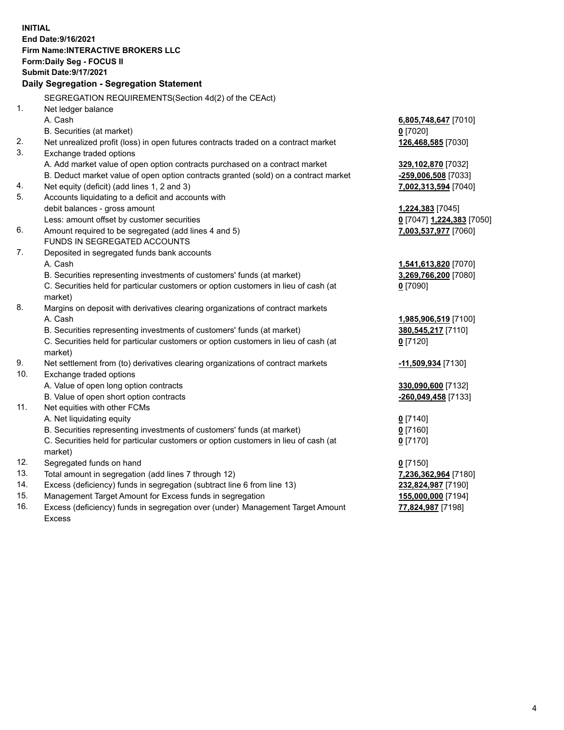**INITIAL End Date:9/16/2021 Firm Name:INTERACTIVE BROKERS LLC Form:Daily Seg - FOCUS II Submit Date:9/17/2021 Daily Segregation - Segregation Statement** SEGREGATION REQUIREMENTS(Section 4d(2) of the CEAct) 1. Net ledger balance A. Cash **6,805,748,647** [7010] B. Securities (at market) **0** [7020] 2. Net unrealized profit (loss) in open futures contracts traded on a contract market **126,468,585** [7030] 3. Exchange traded options A. Add market value of open option contracts purchased on a contract market **329,102,870** [7032] B. Deduct market value of open option contracts granted (sold) on a contract market **-259,006,508** [7033] 4. Net equity (deficit) (add lines 1, 2 and 3) **7,002,313,594** [7040] 5. Accounts liquidating to a deficit and accounts with debit balances - gross amount **1,224,383** [7045] Less: amount offset by customer securities **0** [7047] **1,224,383** [7050] 6. Amount required to be segregated (add lines 4 and 5) **7,003,537,977** [7060] FUNDS IN SEGREGATED ACCOUNTS 7. Deposited in segregated funds bank accounts A. Cash **1,541,613,820** [7070] B. Securities representing investments of customers' funds (at market) **3,269,766,200** [7080] C. Securities held for particular customers or option customers in lieu of cash (at market) **0** [7090] 8. Margins on deposit with derivatives clearing organizations of contract markets A. Cash **1,985,906,519** [7100] B. Securities representing investments of customers' funds (at market) **380,545,217** [7110] C. Securities held for particular customers or option customers in lieu of cash (at market) **0** [7120] 9. Net settlement from (to) derivatives clearing organizations of contract markets **-11,509,934** [7130] 10. Exchange traded options A. Value of open long option contracts **330,090,600** [7132] B. Value of open short option contracts **-260,049,458** [7133] 11. Net equities with other FCMs A. Net liquidating equity **0** [7140] B. Securities representing investments of customers' funds (at market) **0** [7160] C. Securities held for particular customers or option customers in lieu of cash (at market) **0** [7170] 12. Segregated funds on hand **0** [7150] 13. Total amount in segregation (add lines 7 through 12) **7,236,362,964** [7180] 14. Excess (deficiency) funds in segregation (subtract line 6 from line 13) **232,824,987** [7190] 15. Management Target Amount for Excess funds in segregation **155,000,000** [7194] **77,824,987** [7198]

16. Excess (deficiency) funds in segregation over (under) Management Target Amount Excess